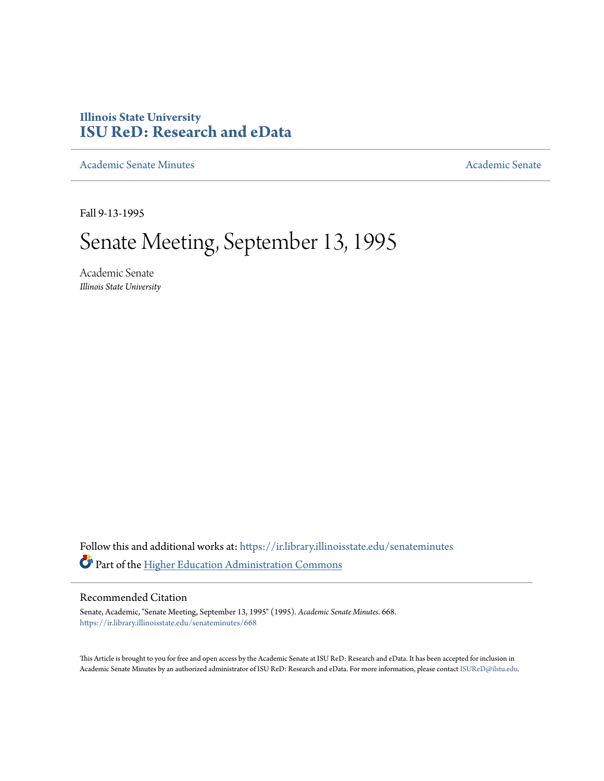# **Illinois State University [ISU ReD: Research and eData](https://ir.library.illinoisstate.edu?utm_source=ir.library.illinoisstate.edu%2Fsenateminutes%2F668&utm_medium=PDF&utm_campaign=PDFCoverPages)**

[Academic Senate Minutes](https://ir.library.illinoisstate.edu/senateminutes?utm_source=ir.library.illinoisstate.edu%2Fsenateminutes%2F668&utm_medium=PDF&utm_campaign=PDFCoverPages) [Academic Senate](https://ir.library.illinoisstate.edu/senate?utm_source=ir.library.illinoisstate.edu%2Fsenateminutes%2F668&utm_medium=PDF&utm_campaign=PDFCoverPages) Academic Senate

Fall 9-13-1995

# Senate Meeting, September 13, 1995

Academic Senate *Illinois State University*

Follow this and additional works at: [https://ir.library.illinoisstate.edu/senateminutes](https://ir.library.illinoisstate.edu/senateminutes?utm_source=ir.library.illinoisstate.edu%2Fsenateminutes%2F668&utm_medium=PDF&utm_campaign=PDFCoverPages) Part of the [Higher Education Administration Commons](http://network.bepress.com/hgg/discipline/791?utm_source=ir.library.illinoisstate.edu%2Fsenateminutes%2F668&utm_medium=PDF&utm_campaign=PDFCoverPages)

#### Recommended Citation

Senate, Academic, "Senate Meeting, September 13, 1995" (1995). *Academic Senate Minutes*. 668. [https://ir.library.illinoisstate.edu/senateminutes/668](https://ir.library.illinoisstate.edu/senateminutes/668?utm_source=ir.library.illinoisstate.edu%2Fsenateminutes%2F668&utm_medium=PDF&utm_campaign=PDFCoverPages)

This Article is brought to you for free and open access by the Academic Senate at ISU ReD: Research and eData. It has been accepted for inclusion in Academic Senate Minutes by an authorized administrator of ISU ReD: Research and eData. For more information, please contact [ISUReD@ilstu.edu.](mailto:ISUReD@ilstu.edu)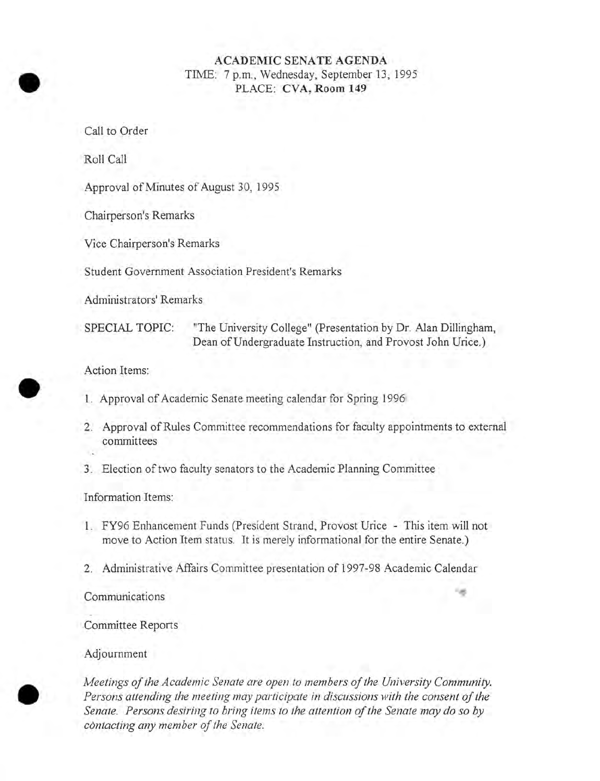#### **ACADEMIC SENATE AGENDA**  TIME: 7 p.m., Wednesday, September 13, 1995 PLACE: **CVA, Room 149**

Call to Order

Roll Call

Approval of Minutes of August 30, 1995

Chairperson's Remarks

Vice Chairperson's Remarks

Student Government Association President's Remarks

Administrators' Remarks

SPECIAL TOPIC: "The University College" (Presentation by Dr. Alan Dillingham, Dean of Undergraduate Instruction, and Provost John Urice.)

Action Items:

- 1. Approval of Academic Senate meeting calendar for Spring 1996
- 2. Approval of Rules Committee recommendations for faculty appointments to external committees
- 3. Election of two faculty senators to the Academic Planning Committee

Information Items:

- 1. FY96 Enhancement Funds (President Strand, Provost Urice This item will not move to Action Item status. It is merely informational for the entire Senate.)
- 2. Administrative Affairs Committee presentation of 1997-98 Academic Calendar

Communications

Committee Reports

Adjournment

*Meetings of the Academic Senate are open to members of the University Community. Persons attending the meeting may participate in discussions with the consent of the Senate. Persons desiring to bring items to the attention of the Senate may do* so *by contacting any member of the Senate.* 



•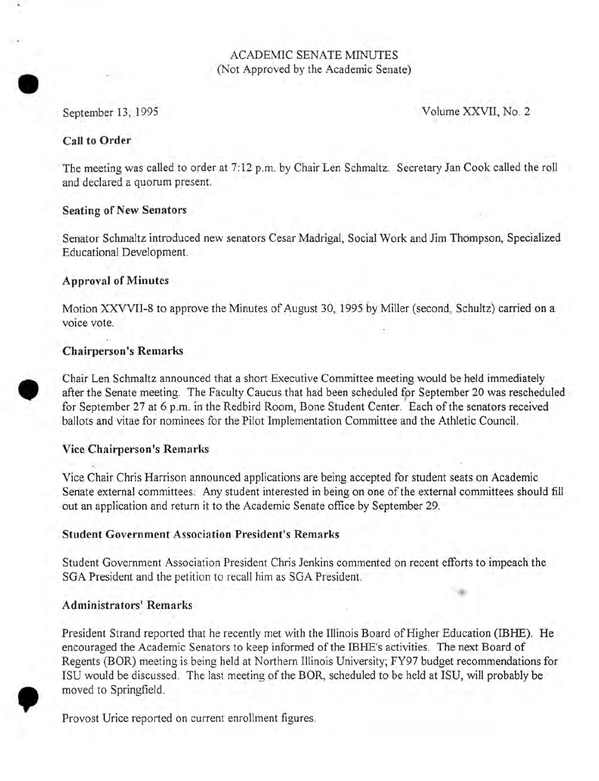#### ACADEMIC SENATE MINUTES (Not Approved by the Academic Senate)

# • September 13, 1995

Volume XXVII, No. 2

#### Call to Order

The meeting was called to order at 7: 12 p.m. by Chair Len Schmaltz. Secretary Jan Cook called the roll and declared a quorum present.

#### Seating of New Senators

Senator Schmaltz introduced new senators Cesar Madrigal, Social Work and Jim Thompson, Specialized Educational Development.

#### Approval of Minutes

Motion XXVVII-8 to approve the Minutes of August 30, 1995 by Miller (second, Schultz) carried on a voice vote.

#### Chairperson's Remarks

• Chair Len Schmaltz announced that a short Executive Committee meeting would be held immediately after the Senate meeting. The Faculty Caucus that had been scheduled for September 20 was rescheduled for September 27 at 6 p.m. in the Redbird Room, Bone Student Center. Each of the senators received ballots and vitae for nominees for the Pilot Implementation Committee and the Athletic Council.

#### Vice Chairperson's Remarks

Vice Chair Chris Harrison announced applications are being accepted for student seats on Academic Senate external committees. Any student interested in being on one of the external committees should fill out an application and return it to the Academic Senate office by September 29.

#### Student Government Association President's Remarks

Student Government Association President Chris Jenkins commented on recent efforts to impeach the SGA President and the petition to recall him as SGA President.

#### Administrators' Remarks

,

President Strand reported that he recently met with the Illinois Board of Higher Education (IBHE). He encouraged the Academic Senators to keep informed of the IBHE's activities. The next Board of Regents (BOR) meeting is being held at Northern Illinois University; FY97 budget recommendations for ISU would be discussed. The last meeting of the BOR, scheduled to be held at ISU, will probably be moved to Springfield.

Provost Urice reported on current enrollment figures.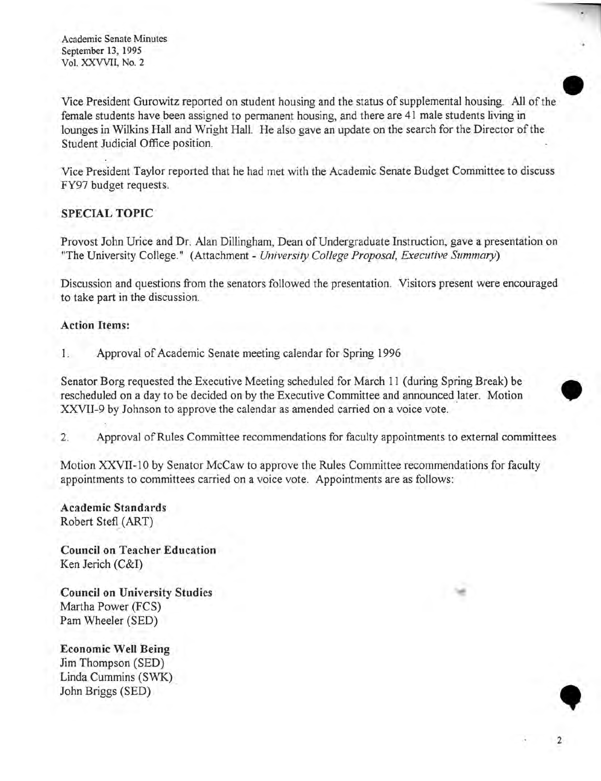Vice President Gurowitz reported on student housing and the status of supplemental housing. All of the female students have been assigned to permanent housing, and there are 41 male students living in lounges in Wilkins Hall and Wright Hall. He also gave an update on the search for the Director of the Student Judicial Office position.

•

2

Vice President Taylor reported that he had met with the Academic Senate Budget Committee to discuss FY97 budget requests.

#### **SPECIAL TOPIC**

Provost John Urice and Dr. Alan Dillingham, Dean of Undergraduate Instruction, gave a presentation on "The University College." (Attachment - *University College Proposal, Executive Summary)* 

Discussion and questions from the senators followed the presentation. Visitors present were encouraged to take part in the discussion.

#### **Action Items:**

1. Approval of Academic Senate meeting calendar for Spring 1996

Senator Borg requested the Executive Meeting scheduled for March 11 (during Spring Break) be • rescheduled on a day to be decided on by the Executive Committee and announced later. Motion XXVII-9 by Johnson to approve the calendar as amended carried on a voice vote.

2. Approval of Rules Committee recommendations for faculty appointments to external committees

Motion XXVII-10 by Senator McCaw to approve the Rules Committee recommendations for faculty appointments to committees carried on a voice vote. Appointments are as follows:

**Academic Standards**  Robert Stefl (ART)

**Council on Teacher Education**  Ken Jerich (C&I)

**Council on University Studies**  Martha Power (FCS) Pam Wheeler (SED)

**Economic Well Being**  Jim Thompson (SED) Linda. Cummins (SWK) . Linda Cummins (SWK)<br>John Briggs (SED)<br>
• Prince Contains (SWK)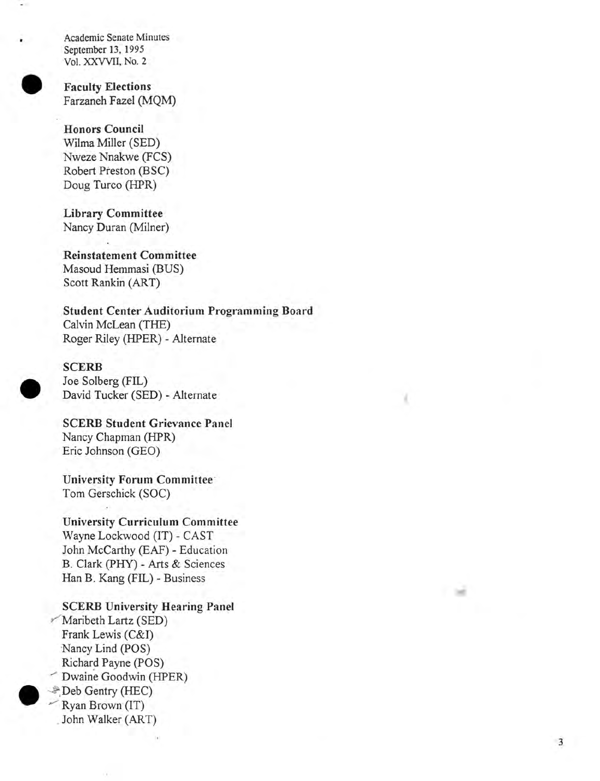

**Faculty Elections** Farzaneh Fazel (MQM)

Honors Council Wilma Miller (SED) Nweze Nnakwe (FCS) Robert Preston (BSC) Doug Turco (HPR)

Library Committee Nancy Duran (Milner)

Reinstatement Committee Masoud Hemmasi (BUS) Scott Rankin (ART)

Student Center Auditorium Programming Board Calvin McLean (THE) Roger Riley (HPER) - Alternate



SCERB Joe Solberg (FIL) David Tucker (SED) - Alternate

SCERB Student Grievance Panel Nancy Chapman (HPR) Eric Johnson (GEO)

University Forum Committee Tom Gerschick (SOC)

University Curriculum Committee Wayne Lockwood (IT) - CAST John McCarthy (EAF) - Education B. Clark (PHY) - Arts & Sciences Han B. Kang (FIL) - Business

 $\bullet$ SCERB University Hearing Panel Maribeth Lartz (SED)<br>Frank Lewis (C&I) Nancy Lind (POS) Richard Payne (POS) Dwaine Goodwin (HPER) Deb Gentry (HEC) Ryan Brown (IT) . John Walker (ART)



I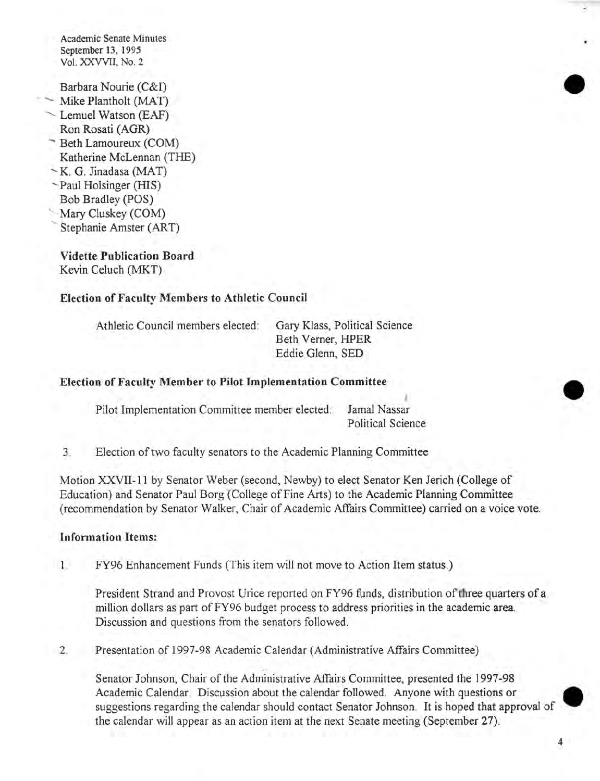Barbara Nourie (C&I)

- Mike Plantholt (MAT)
- Lemuel Watson (EAF) Ron Rosati (AGR)
- Beth Lamoureux (COM)
- Katherine McLennan (THE)
- $-K$ . G. Jinadasa (MAT)
- ~Paul Holsinger (HIS)
- Bob Bradley (POS)
- Mary Cluskey (COM)<br>Stephanie Amster (ART)
- 

Vidette Publication Board Kevin Celuch (MKT)

#### Election of Faculty Members to Athletic Council

Athletic Council members elected: Gary Klass, Political Science

Beth Verner, HPER Eddie Glenn, SED

#### Election of Faculty Member to Pilot Implementation Committee

Pilot Implementation Committee member elected: Jamal Nassar

Political Science

I

3. Election of two faculty senators to the Academic Planning Committee

Motion XXVII-II by Senator Weber (second, Newby) to elect Senator Ken Jerich (College of Education) and Senator Paul Borg (College of Fine Arts) to the Academic Planning Committee (recommendation by Senator Walker, Chair of Academic Affairs Committee) carried on a voice vote.

#### Information Items:

1. FY96 Enhancement Funds (This item will not move to Action Item status.)

President Strand and Provost Urice reported on FY96 funds, distribution of hree quarters of a million dollars as part of FY96 budget process to address priorities in the academic area. Discussion and questions from the senators followed.

2. Presentation of 1997-98 Academic Calendar (Administrative Affairs Committee)

.' Senator Johnson, Chair of the Administrative Affairs Committee, presented the 1997-98 Academic Calendar. Discussion about the calendar followed. Anyone with questions or • suggestions regarding the calendar should contact Senator Johnson. It is hoped that approval of the calendar will appear as an action item at the next Senate meeting (September 27).

•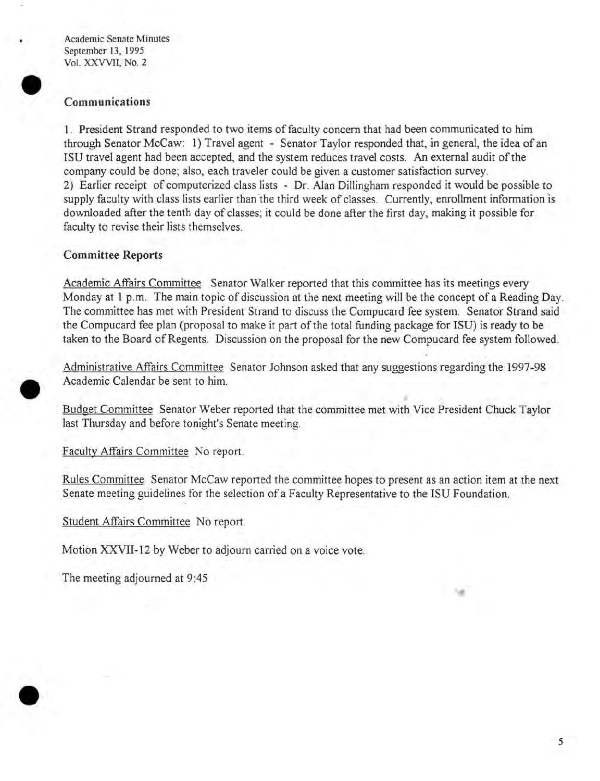#### **Communications**

1. President Strand responded to two items of faculty concern that had been communicated to him through Senator McCaw: 1) Travel agent - Senator Taylor responded that, in general, the idea of an ISU travel agent had been accepted, and the system reduces travel costs. An external audit of the company could be done; also, each traveler could be given a customer satisfaction survey. 2) Earlier receipt of computerized class lists - Dr. Alan Dillingham responded it would be possible to supply faculty with class lists earlier than the third week of classes. Currently, enrollment information is downloaded after the tenth day of classes; it could be done after the first day, making it possible for faculty to revise their lists themselves.

#### **Committee Reports**

Academic Affairs Committee Senator Walker reported that this committee has its meetings every Monday at 1 p.m. The main topic of discussion at the next meeting will be the concept of a Reading Day. The committee has met with President Strand to discuss the Compucard fee system. Senator Strand said the Compucard fee plan (proposal to make it part of the total funding package for ISU) is ready to be taken to the Board of Regents. Discussion on the proposal for the new Compucard fee system followed.

Administrative Affairs Committee Senator Johnson asked that any suggestions regarding the 1997-98 Academic Calendar be sent to him.

• Budget Committee Senator Weber reported that the committee met with Vice President Chuck Taylor last Thursday and before tonight's Senate meeting.

Faculty Affairs Committee No report.

Rules Committee Senator McCaw reported the committee hopes to present as an action item at the next Senate meeting guidelines for the selection of a Faculty Representative to the ISU Foundation.

Student Affairs Committee No report.

Motion XXVII-12 by Weber to adjourn carried on a voice vote.

The meeting adjourned at 9:45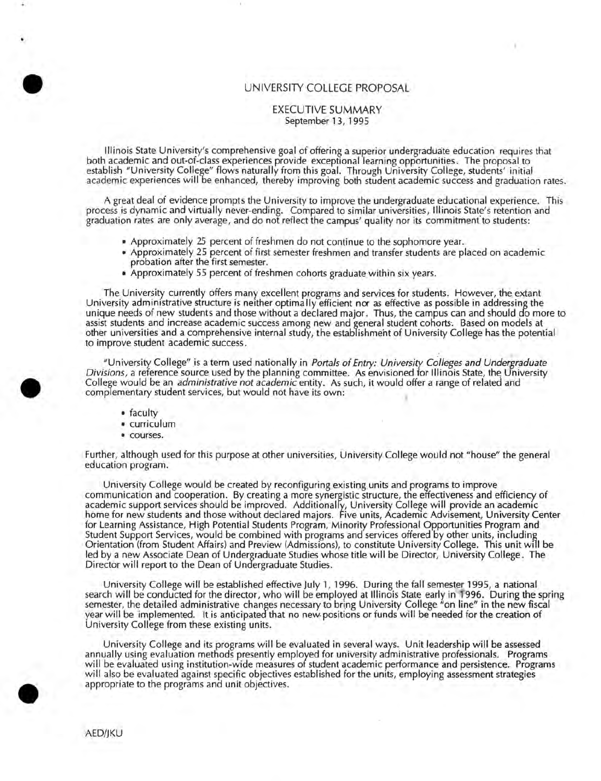#### UNIVERSITY COLLEGE PROPOSAL

#### EXECUTIVE SUMMARY September 13, 1995

Illinois State University's comprehensive goal of offering a superior undergraduate education requires that both academic and out-of-class experiences provide exceptional learning opportunities . The proposal to establish "University College" flows naturally from this goal. Through University College, students' initial academic experiences will be enhanced, thereby improving both student academic success and graduation rates.

A great deal of evidence prompts the University to improve the undergraduate educational experience. This . process is dynamic and virtually never-ending. Compared to similar universities, Illinois State's retention and graduation rates are only average , and do not reflect the campus' quality nor its commitment to students:

- Approximately 25 percent of freshmen do not continue to the sophomore year.
- Approximately 25 percent of first semester freshmen and transfer students are placed on academic probation after the first semester.
- Approximately 55 percent of freshmen cohorts graduate within six years.

The University currently offers many excellent programs and services for students. However, the extant University administrative structure is neither optimally efficient nor as effective as possible in addressing the unique needs of new students and those without a declared major. Thus, the campus can and should do more to assist students and increase academic success among new and general student cohorts·. Based on models at other universities and a comprehensive internal study, the establishmeht of University College has the potential to improve student academic success .

"University College" is a term used nationally in *Portals of Entry: University Colleges and Undergraduate Divisions*, a reference source used by the planning committee. As envisioned for Illinois State, the University College would be an *administrative not academic* entity. As such, it would offer a range of related and complementary student services, but would not have its own:

• faculty

•

•

- curriculum
- courses.

Further, although used for this purpose at other universities, University College would not "house" the general education program. .

University College would be created by reconfiguring existing units and programs to improve communication and cooperation. By creating a more synergistic structure, the effectiveness and efficiency of academic support services· should be improved. Additionalfy, University College will provide an academic home for new students and those without declared majors. Five units, Academic Advisement, University Center for Learning Assistance, High Potential Students Program, Minority Professional Opportunities Program and Student Support Services, would be combined with programs and services offered by other units, including Orientation (from Student Affairs) and Preview (Admissions), to constitute University College. This unit will be led by a new Associate Dean of Undergraduate Studies whose title will be Director, University College. The Director will report to the Dean of Undergraduate Studies.

University College will be established effective July 1, 1996. During the fall semester 1995, a national search will be conducted for the director, who will be employed at Illinois State early in- 1996. During the spring semester, the detailed administrative changes necessary to bring University College "on line" in the new fiscal year will be implemented. It is anticipated that no new-positions or funds will be needed for the creation of University College from these existing units.

University College and its programs will be evaluated in several ways. Unit leadership will be assessed annually using evaluation methods presently employed for university administrative professionals. Programs will be evaluated using institution-wide measures of student academic performance and persistence. Programs will also be evaluated against specific objectives established for the units, employing assessment strategies appropriate to the programs and unit objectives .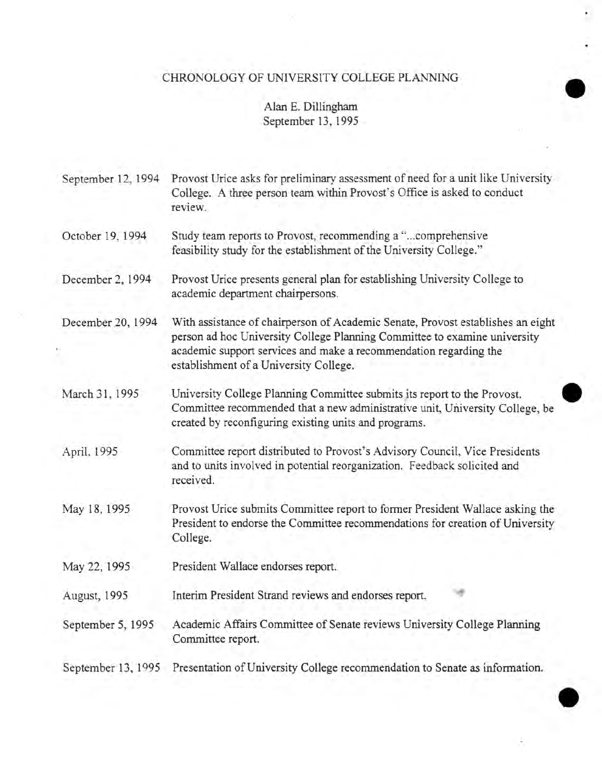# CHRONOLOGY OF UNIVERSITY COLLEGE PLANNING

#### Alan E. Dillingham September 13, 1995

| September 12, 1994 | Provost Urice asks for preliminary assessment of need for a unit like University<br>College. A three person team within Provost's Office is asked to conduct<br>review.                                                                                                     |
|--------------------|-----------------------------------------------------------------------------------------------------------------------------------------------------------------------------------------------------------------------------------------------------------------------------|
| October 19, 1994   | Study team reports to Provost, recommending a "comprehensive<br>feasibility study for the establishment of the University College."                                                                                                                                         |
| December 2, 1994   | Provost Urice presents general plan for establishing University College to<br>academic department chairpersons.                                                                                                                                                             |
| December 20, 1994  | With assistance of chairperson of Academic Senate, Provost establishes an eight<br>person ad hoc University College Planning Committee to examine university<br>academic support services and make a recommendation regarding the<br>establishment of a University College. |
| March 31, 1995     | University College Planning Committee submits its report to the Provost.<br>Committee recommended that a new administrative unit, University College, be<br>created by reconfiguring existing units and programs.                                                           |
| April, 1995        | Committee report distributed to Provost's Advisory Council, Vice Presidents<br>and to units involved in potential reorganization. Feedback solicited and<br>received.                                                                                                       |
| May 18, 1995       | Provost Urice submits Committee report to former President Wallace asking the<br>President to endorse the Committee recommendations for creation of University<br>College.                                                                                                  |
| May 22, 1995       | President Wallace endorses report.                                                                                                                                                                                                                                          |
| August, 1995       | Interim President Strand reviews and endorses report.                                                                                                                                                                                                                       |
| September 5, 1995  | Academic Affairs Committee of Senate reviews University College Planning<br>Committee report.                                                                                                                                                                               |
| September 13, 1995 | Presentation of University College recommendation to Senate as information.                                                                                                                                                                                                 |
|                    |                                                                                                                                                                                                                                                                             |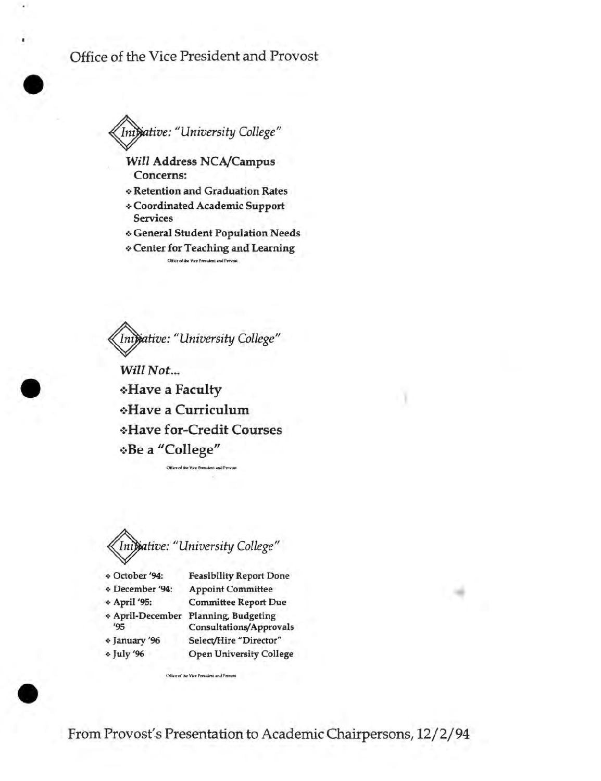## Office of the Vice President and Provost

•

•

•



*Will* Address NCA/Campus Concerns:

- .:. Retention and Graduation Rates
- .:. Coordinated Academic Support **Services**
- .:. General Student Population Needs
- .:. Center for Teaching and Learning Office of the Vice President and Provost

~tive: *"University College"* 

Will Not... \*Have a Faculty ·:·Have a Curriculum ·:·Have for-Credit Courses ·:·Be a "College"

Office of the Vice President and Pr

~tive: *"University College"* 

.:. October 194: Feasibility Report Done

<- December 194: Appoint Committee

.;. April 195: Committee Report Due

Office of the Vice President and Provosi

<- April-December Planning, Budgeting '95 Consultations/Approvals

 $\triangleleft$  January '96  $\cdot$  July '96

Select/Hire "Director" Open University College

From Provost's Presentation to Academic Chairpersons, 12/2/94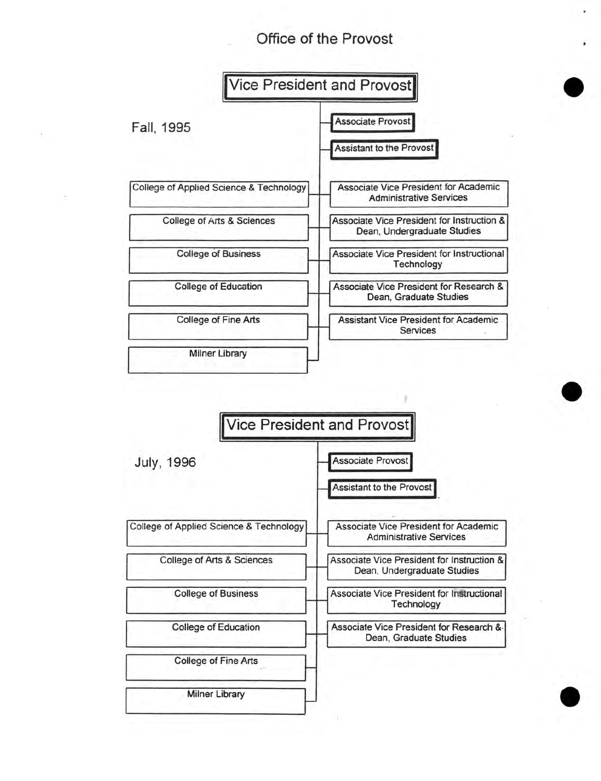# **Office of the Provost**

•

•



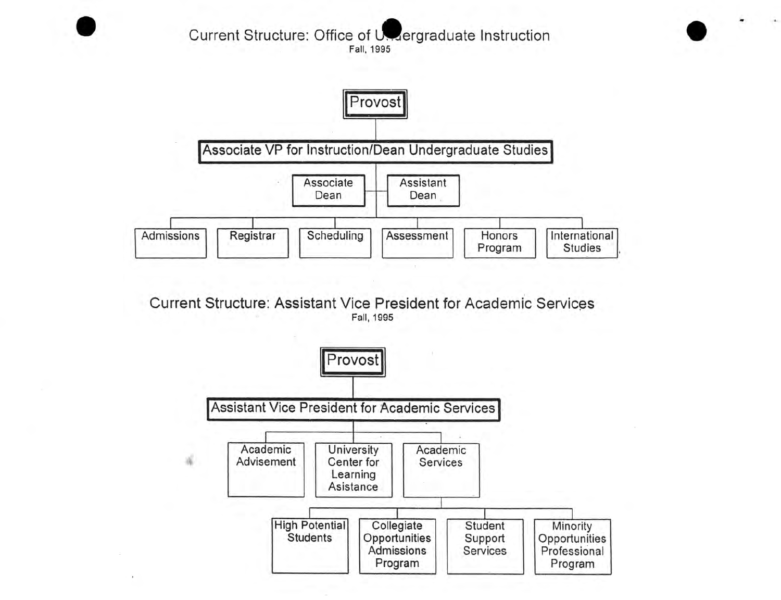### Current Structure: Office of Usaergraduate Instruction Fall, 1995

•



Current Structure: Assistant Vice President for Academic Services Fall, 1995

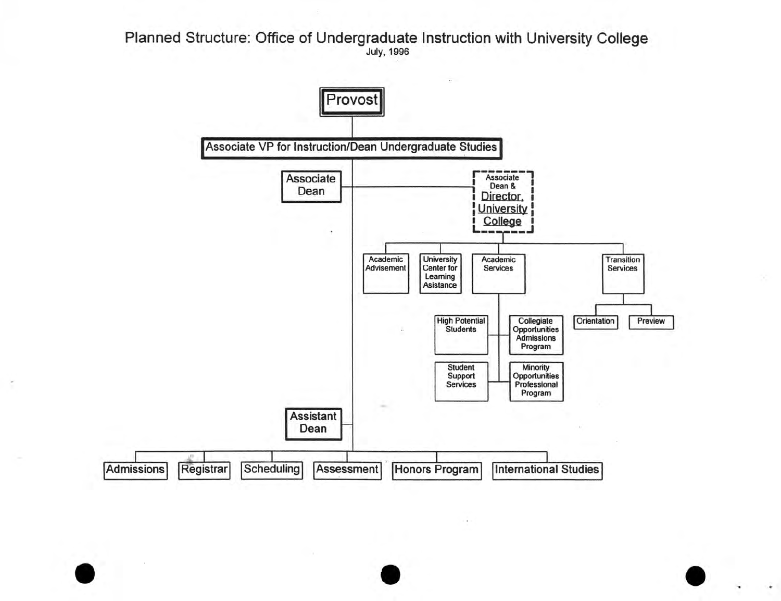Planned Structure: Office of Undergraduate Instruction with University College July, 1996



•

•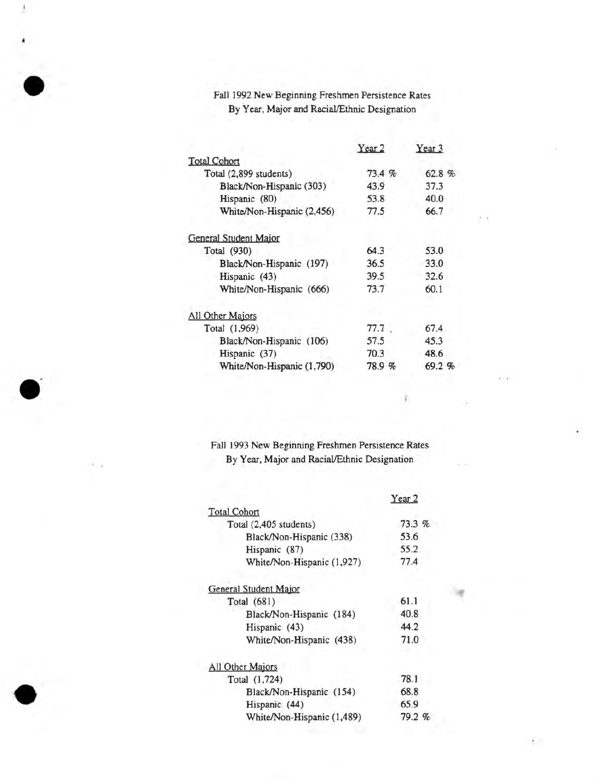#### Fall 1992 New Beginning Freshmen Persistence Rates By Year, Major and Racial/Ethnic Designation

•

**.**

•

**-**

|                            | Year <sub>2</sub> | Year 3 |
|----------------------------|-------------------|--------|
| <b>Total Cohort</b>        |                   |        |
| Total (2,899 students)     | 73.4%             | 62.8%  |
| Black/Non-Hispanic (303)   | 43.9              | 37.3   |
| Hispanic (80)              | 53.8              | 40.0   |
| White/Non-Hispanic (2,456) | 77.5              | 66.7   |
| General Student Major      |                   |        |
| Total (930)                | 64.3              | 53.0   |
| Black/Non-Hispanic (197)   | 36.5              | 33.0   |
| Hispanic (43)              | 39.5              | 32.6   |
| White/Non-Hispanic (666)   | 73.7              | 60.1   |
| All Other Majors           |                   |        |
| Total (1,969)              | 77.7              | 67.4   |
| Black/Non-Hispanic (106)   | 57.5              | 45.3   |
| Hispanic (37)              | 70.3              | 48.6.  |
| White/Non-Hispanic (1,790) | 78.9%             | 69.2%  |
|                            |                   |        |

Fall 1993 New Beginning Freshmen Persistence Rates By Year, Major and Racial/Ethnic Designation

I

|                            | Year 2 |
|----------------------------|--------|
| Total Cohort               |        |
| Total (2,405 students)     | 73.3 % |
| Black/Non-Hispanic (338)   | 53.6   |
| Hispanic (87)              | 55.2   |
| White/Non-Hispanic (1,927) | 77.4   |
| General Student Major      |        |
| Total (681)                | 61.1   |
| Black/Non-Hispanic (184)   | 40.8   |
| Hispanic (43)              | 44.2   |
| White/Non-Hispanic (438)   | 71.0   |
| Il Other Majors            |        |
| Total (1,724)              | 78.1   |
| Black/Non-Hispanic (154)   | 68.8   |
| Hispanic (44)              | 65.9   |
| White/Non-Hispanic (1,489) | 79.2%  |
|                            |        |

 $\rightarrow$